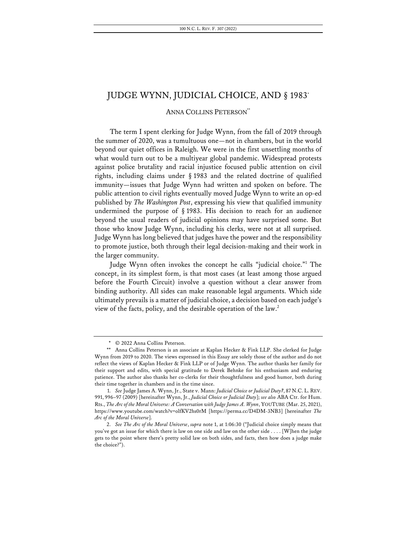# ANNA COLLINS PETERSON\*\*

The term I spent clerking for Judge Wynn, from the fall of 2019 through the summer of 2020, was a tumultuous one—not in chambers, but in the world beyond our quiet offices in Raleigh. We were in the first unsettling months of what would turn out to be a multiyear global pandemic. Widespread protests against police brutality and racial injustice focused public attention on civil rights, including claims under § 1983 and the related doctrine of qualified immunity—issues that Judge Wynn had written and spoken on before. The public attention to civil rights eventually moved Judge Wynn to write an op-ed published by *The Washington Post*, expressing his view that qualified immunity undermined the purpose of  $\S$  1983. His decision to reach for an audience beyond the usual readers of judicial opinions may have surprised some. But those who know Judge Wynn, including his clerks, were not at all surprised. Judge Wynn has long believed that judges have the power and the responsibility to promote justice, both through their legal decision-making and their work in the larger community.

Judge Wynn often invokes the concept he calls "judicial choice."1 The concept, in its simplest form, is that most cases (at least among those argued before the Fourth Circuit) involve a question without a clear answer from binding authority. All sides can make reasonable legal arguments. Which side ultimately prevails is a matter of judicial choice, a decision based on each judge's view of the facts, policy, and the desirable operation of the law.<sup>2</sup>

<sup>\*</sup> © 2022 Anna Collins Peterson.

<sup>\*\*</sup> Anna Collins Peterson is an associate at Kaplan Hecker & Fink LLP. She clerked for Judge Wynn from 2019 to 2020. The views expressed in this Essay are solely those of the author and do not reflect the views of Kaplan Hecker & Fink LLP or of Judge Wynn. The author thanks her family for their support and edits, with special gratitude to Derek Behnke for his enthusiasm and enduring patience. The author also thanks her co-clerks for their thoughtfulness and good humor, both during their time together in chambers and in the time since.

<sup>1.</sup> *See* Judge James A. Wynn, Jr., State v. Mann: *Judicial Choice or Judicial Duty?*, 87 N.C. L. REV. 991, 996–97 (2009) [hereinafter Wynn, Jr., *Judicial Choice or Judicial Duty*]; *see also* ABA Ctr. for Hum. Rts., *The Arc of the Moral Universe: A Conversation with Judge James A. Wynn*, YOUTUBE (Mar. 25, 2021), https://www.youtube.com/watch?v=olfKV2hs0rM [https://perma.cc/D4DM-3NB3] [hereinafter *The Arc of the Moral Universe*].

<sup>2.</sup> *See The Arc of the Moral Universe*, *supra* note 1, at 1:06:30 ("Judicial choice simply means that you've got an issue for which there is law on one side and law on the other side . . . . [W]hen the judge gets to the point where there's pretty solid law on both sides, and facts, then how does a judge make the choice?").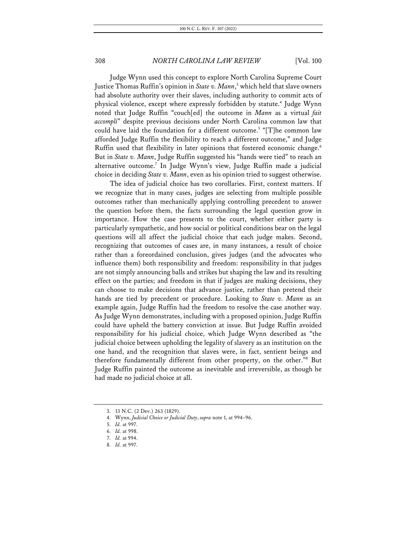Judge Wynn used this concept to explore North Carolina Supreme Court Justice Thomas Ruffin's opinion in *State v. Mann*, <sup>3</sup> which held that slave owners had absolute authority over their slaves, including authority to commit acts of physical violence, except where expressly forbidden by statute.<sup>4</sup> Judge Wynn noted that Judge Ruffin "couch[ed] the outcome in *Mann* as a virtual *fait accompli*" despite previous decisions under North Carolina common law that could have laid the foundation for a different outcome.<sup>5</sup> "[T]he common law afforded Judge Ruffin the flexibility to reach a different outcome," and Judge Ruffin used that flexibility in later opinions that fostered economic change.<sup>6</sup> But in *State v. Mann*, Judge Ruffin suggested his "hands were tied" to reach an alternative outcome.7 In Judge Wynn's view, Judge Ruffin made a judicial choice in deciding *State v. Mann*, even as his opinion tried to suggest otherwise.

The idea of judicial choice has two corollaries. First, context matters. If we recognize that in many cases, judges are selecting from multiple possible outcomes rather than mechanically applying controlling precedent to answer the question before them, the facts surrounding the legal question grow in importance. How the case presents to the court, whether either party is particularly sympathetic, and how social or political conditions bear on the legal questions will all affect the judicial choice that each judge makes. Second, recognizing that outcomes of cases are, in many instances, a result of choice rather than a foreordained conclusion, gives judges (and the advocates who influence them) both responsibility and freedom: responsibility in that judges are not simply announcing balls and strikes but shaping the law and its resulting effect on the parties; and freedom in that if judges are making decisions, they can choose to make decisions that advance justice, rather than pretend their hands are tied by precedent or procedure. Looking to *State v. Mann* as an example again, Judge Ruffin had the freedom to resolve the case another way. As Judge Wynn demonstrates, including with a proposed opinion, Judge Ruffin could have upheld the battery conviction at issue. But Judge Ruffin avoided responsibility for his judicial choice, which Judge Wynn described as "the judicial choice between upholding the legality of slavery as an institution on the one hand, and the recognition that slaves were, in fact, sentient beings and therefore fundamentally different from other property, on the other."8 But Judge Ruffin painted the outcome as inevitable and irreversible, as though he had made no judicial choice at all.

<sup>3.</sup> 13 N.C. (2 Dev.) 263 (1829).

<sup>4.</sup> Wynn, *Judicial Choice or Judicial Duty*, *supra* note 1, at 994–96.

<sup>5.</sup> *Id.* at 997.

<sup>6.</sup> *Id.* at 998.

<sup>7.</sup> *Id.* at 994.

<sup>8.</sup> *Id.* at 997.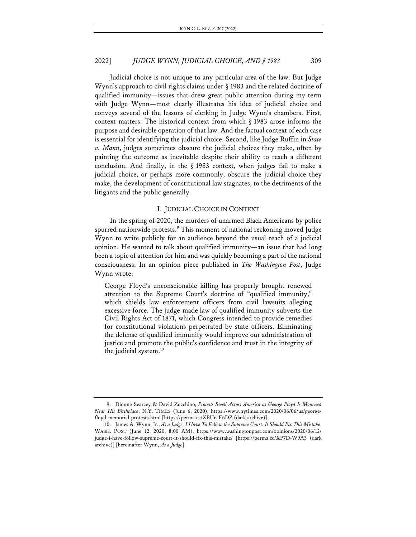Judicial choice is not unique to any particular area of the law. But Judge Wynn's approach to civil rights claims under § 1983 and the related doctrine of qualified immunity—issues that drew great public attention during my term with Judge Wynn—most clearly illustrates his idea of judicial choice and conveys several of the lessons of clerking in Judge Wynn's chambers. First, context matters. The historical context from which § 1983 arose informs the purpose and desirable operation of that law. And the factual context of each case is essential for identifying the judicial choice. Second, like Judge Ruffin in *State v. Mann*, judges sometimes obscure the judicial choices they make, often by painting the outcome as inevitable despite their ability to reach a different conclusion. And finally, in the  $\S$  1983 context, when judges fail to make a judicial choice, or perhaps more commonly, obscure the judicial choice they make, the development of constitutional law stagnates, to the detriments of the litigants and the public generally.

## I. JUDICIAL CHOICE IN CONTEXT

In the spring of 2020, the murders of unarmed Black Americans by police spurred nationwide protests.<sup>9</sup> This moment of national reckoning moved Judge Wynn to write publicly for an audience beyond the usual reach of a judicial opinion. He wanted to talk about qualified immunity—an issue that had long been a topic of attention for him and was quickly becoming a part of the national consciousness. In an opinion piece published in *The Washington Post*, Judge Wynn wrote:

George Floyd's unconscionable killing has properly brought renewed attention to the Supreme Court's doctrine of "qualified immunity," which shields law enforcement officers from civil lawsuits alleging excessive force. The judge-made law of qualified immunity subverts the Civil Rights Act of 1871, which Congress intended to provide remedies for constitutional violations perpetrated by state officers. Eliminating the defense of qualified immunity would improve our administration of justice and promote the public's confidence and trust in the integrity of the judicial system.<sup>10</sup>

<sup>9.</sup> Dionne Searcey & David Zucchino, *Protests Swell Across America as George Floyd Is Mourned Near His Birthplace*, N.Y. TIMES (June 6, 2020), https://www.nytimes.com/2020/06/06/us/georgefloyd-memorial-protests.html [https://perma.cc/XBU6-F6DZ (dark archive)].

<sup>10.</sup> James A. Wynn, Jr., *As a Judge, I Have To Follow the Supreme Court. It Should Fix This Mistake*, WASH. POST (June 12, 2020, 8:00 AM), https://www.washingtonpost.com/opinions/2020/06/12/ judge-i-have-follow-supreme-court-it-should-fix-this-mistake/ [https://perma.cc/XP7D-W9A3 (dark archive)] [hereinafter Wynn, *As a Judge*].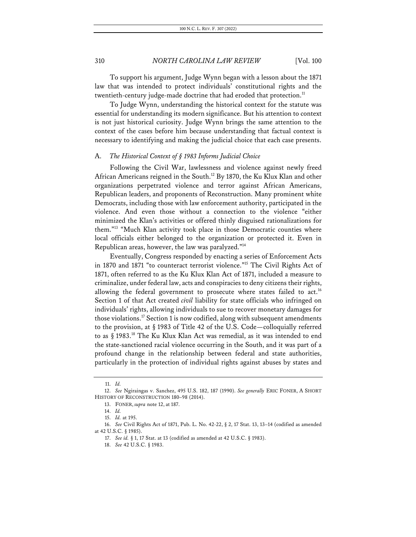To support his argument, Judge Wynn began with a lesson about the 1871 law that was intended to protect individuals' constitutional rights and the twentieth-century judge-made doctrine that had eroded that protection.<sup>11</sup>

To Judge Wynn, understanding the historical context for the statute was essential for understanding its modern significance. But his attention to context is not just historical curiosity. Judge Wynn brings the same attention to the context of the cases before him because understanding that factual context is necessary to identifying and making the judicial choice that each case presents.

# A. *The Historical Context of § 1983 Informs Judicial Choice*

Following the Civil War, lawlessness and violence against newly freed African Americans reigned in the South.<sup>12</sup> By 1870, the Ku Klux Klan and other organizations perpetrated violence and terror against African Americans, Republican leaders, and proponents of Reconstruction. Many prominent white Democrats, including those with law enforcement authority, participated in the violence. And even those without a connection to the violence "either minimized the Klan's activities or offered thinly disguised rationalizations for them."13 "Much Klan activity took place in those Democratic counties where local officials either belonged to the organization or protected it. Even in Republican areas, however, the law was paralyzed."14

Eventually, Congress responded by enacting a series of Enforcement Acts in 1870 and 1871 "to counteract terrorist violence."15 The Civil Rights Act of 1871, often referred to as the Ku Klux Klan Act of 1871, included a measure to criminalize, under federal law, acts and conspiracies to deny citizens their rights, allowing the federal government to prosecute where states failed to act.<sup>16</sup> Section 1 of that Act created *civil* liability for state officials who infringed on individuals' rights, allowing individuals to sue to recover monetary damages for those violations.17 Section 1 is now codified, along with subsequent amendments to the provision, at § 1983 of Title 42 of the U.S. Code—colloquially referred to as § 1983.18 The Ku Klux Klan Act was remedial, as it was intended to end the state-sanctioned racial violence occurring in the South, and it was part of a profound change in the relationship between federal and state authorities, particularly in the protection of individual rights against abuses by states and

<sup>11.</sup> *Id.* 

<sup>12.</sup> *See* Ngiraingas v. Sanchez, 495 U.S. 182, 187 (1990). *See generally* ERIC FONER, A SHORT HISTORY OF RECONSTRUCTION 180–98 (2014).

<sup>13.</sup> FONER, *supra* note 12, at 187.

<sup>14.</sup> *Id.*

<sup>15.</sup> *Id.* at 195.

<sup>16.</sup> *See* Civil Rights Act of 1871, Pub. L. No. 42-22, § 2, 17 Stat. 13, 13–14 (codified as amended at 42 U.S.C. § 1985).

<sup>17.</sup> *See id.* § 1, 17 Stat. at 13 (codified as amended at 42 U.S.C. § 1983).

<sup>18.</sup> *See* 42 U.S.C. § 1983.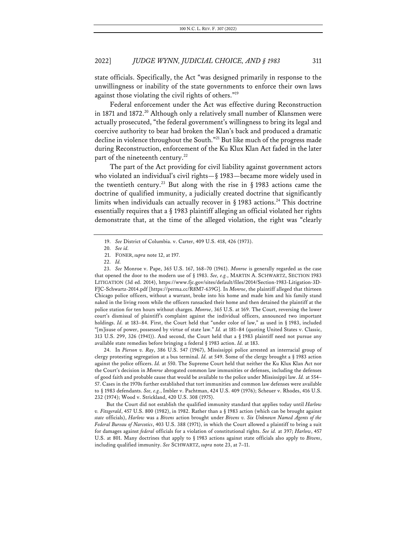state officials. Specifically, the Act "was designed primarily in response to the unwillingness or inability of the state governments to enforce their own laws against those violating the civil rights of others."<sup>19</sup>

Federal enforcement under the Act was effective during Reconstruction in 1871 and 1872.<sup>20</sup> Although only a relatively small number of Klansmen were actually prosecuted, "the federal government's willingness to bring its legal and coercive authority to bear had broken the Klan's back and produced a dramatic decline in violence throughout the South."21 But like much of the progress made during Reconstruction, enforcement of the Ku Klux Klan Act faded in the later part of the nineteenth century.<sup>22</sup>

The part of the Act providing for civil liability against government actors who violated an individual's civil rights—§ 1983—became more widely used in the twentieth century.<sup>23</sup> But along with the rise in § 1983 actions came the doctrine of qualified immunity, a judicially created doctrine that significantly limits when individuals can actually recover in  $\S 1983$  actions.<sup>24</sup> This doctrine essentially requires that a § 1983 plaintiff alleging an official violated her rights demonstrate that, at the time of the alleged violation, the right was "clearly

24. In *Pierson v. Ray*, 386 U.S. 547 (1967), Mississippi police arrested an interracial group of clergy protesting segregation at a bus terminal. *Id.* at 549. Some of the clergy brought a § 1983 action against the police officers. *Id.* at 550. The Supreme Court held that neither the Ku Klux Klan Act nor the Court's decision in *Monroe* abrogated common law immunities or defenses, including the defenses of good faith and probable cause that would be available to the police under Mississippi law. *Id.* at 554– 57. Cases in the 1970s further established that tort immunities and common law defenses were available to § 1983 defendants. *See, e.g.*, Imbler v. Pachtman, 424 U.S. 409 (1976); Scheuer v. Rhodes, 416 U.S. 232 (1974); Wood v. Strickland, 420 U.S. 308 (1975).

But the Court did not establish the qualified immunity standard that applies today until *Harlow v. Fitzgerald*, 457 U.S. 800 (1982), in 1982. Rather than a § 1983 action (which can be brought against *state* officials), *Harlow* was a *Bivens* action brought under *Bivens v. Six Unknown Named Agents of the Federal Bureau of Narcotics*, 403 U.S. 388 (1971), in which the Court allowed a plaintiff to bring a suit for damages against *federal* officials for a violation of constitutional rights. *See id.* at 397; *Harlow*, 457 U.S. at 801. Many doctrines that apply to § 1983 actions against state officials also apply to *Bivens*, including qualified immunity. *See* SCHWARTZ, *supra* note 23, at 7–11.

<sup>19.</sup> *See* District of Columbia. v. Carter, 409 U.S. 418, 426 (1973).

<sup>20.</sup> *See id.*

<sup>21.</sup> FONER, *supra* note 12, at 197.

<sup>22.</sup> *Id.*

<sup>23.</sup> *See* Monroe v. Pape, 365 U.S. 167, 168–70 (1961). *Monroe* is generally regarded as the case that opened the door to the modern use of § 1983. *See, e.g.*, MARTIN A. SCHWARTZ, SECTION 1983 LITIGATION (3d ed. 2014), https://www.fjc.gov/sites/default/files/2014/Section-1983-Litigation-3D-FJC-Schwartz-2014.pdf [https://perma.cc/R8M7-639G]. In *Monroe*, the plaintiff alleged that thirteen Chicago police officers, without a warrant, broke into his home and made him and his family stand naked in the living room while the officers ransacked their home and then detained the plaintiff at the police station for ten hours without charges. *Monroe*, 365 U.S. at 169. The Court, reversing the lower court's dismissal of plaintiff's complaint against the individual officers, announced two important holdings. *Id.* at 183–84. First, the Court held that "under color of law," as used in § 1983, included "[m]isuse of power, possessed by virtue of state law." *Id.* at 181–84 (quoting United States v. Classic, 313 U.S. 299, 326 (1941)). And second, the Court held that a § 1983 plaintiff need not pursue any available state remedies before bringing a federal § 1983 action. *Id.* at 183.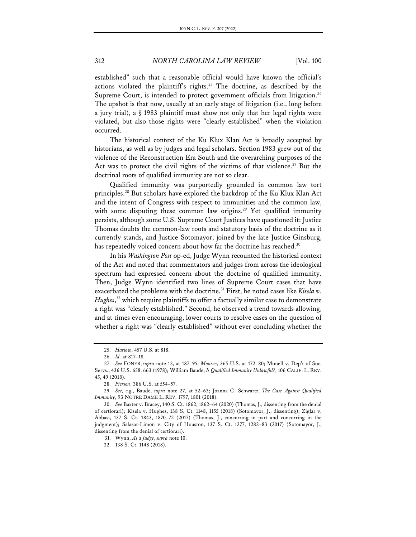established" such that a reasonable official would have known the official's actions violated the plaintiff's rights.<sup>25</sup> The doctrine, as described by the Supreme Court, is intended to protect government officials from litigation.<sup>26</sup> The upshot is that now, usually at an early stage of litigation (i.e., long before a jury trial), a § 1983 plaintiff must show not only that her legal rights were violated, but also those rights were "clearly established" when the violation occurred.

The historical context of the Ku Klux Klan Act is broadly accepted by historians, as well as by judges and legal scholars. Section 1983 grew out of the violence of the Reconstruction Era South and the overarching purposes of the Act was to protect the civil rights of the victims of that violence.<sup>27</sup> But the doctrinal roots of qualified immunity are not so clear.

Qualified immunity was purportedly grounded in common law tort principles.<sup>28</sup> But scholars have explored the backdrop of the Ku Klux Klan Act and the intent of Congress with respect to immunities and the common law, with some disputing these common law origins.<sup>29</sup> Yet qualified immunity persists, although some U.S. Supreme Court Justices have questioned it: Justice Thomas doubts the common-law roots and statutory basis of the doctrine as it currently stands, and Justice Sotomayor, joined by the late Justice Ginsburg, has repeatedly voiced concern about how far the doctrine has reached.<sup>30</sup>

In his *Washington Post* op-ed, Judge Wynn recounted the historical context of the Act and noted that commentators and judges from across the ideological spectrum had expressed concern about the doctrine of qualified immunity. Then, Judge Wynn identified two lines of Supreme Court cases that have exacerbated the problems with the doctrine.<sup>31</sup> First, he noted cases like *Kisela v*. *Hughes*, <sup>32</sup> which require plaintiffs to offer a factually similar case to demonstrate a right was "clearly established." Second, he observed a trend towards allowing, and at times even encouraging, lower courts to resolve cases on the question of whether a right was "clearly established" without ever concluding whether the

31. Wynn, *As a Judge*, *supra* note 10.

<sup>25.</sup> *Harlow*, 457 U.S. at 818.

<sup>26.</sup> *Id.* at 817–18.

<sup>27.</sup> *See* FONER, *supra* note 12, at 187–95; *Monroe*, 365 U.S. at 172–80; Monell v. Dep't of Soc. Servs., 436 U.S. 658, 663 (1978); William Baude, *Is Qualified Immunity Unlawful?*, 106 CALIF. L. REV. 45, 49 (2018).

<sup>28.</sup> *Pierson*, 386 U.S. at 554–57.

<sup>29.</sup> *See, e.g.*, Baude, *supra* note 27, at 52–63; Joanna C. Schwartz, *The Case Against Qualified Immunity*, 93 NOTRE DAME L. REV. 1797, 1801 (2018).

<sup>30.</sup> *See* Baxter v. Bracey, 140 S. Ct. 1862, 1862–64 (2020) (Thomas, J., dissenting from the denial of certiorari); Kisela v. Hughes, 138 S. Ct. 1148, 1155 (2018) (Sotomayor, J., dissenting); Ziglar v. Abbasi, 137 S. Ct. 1843, 1870–72 (2017) (Thomas, J., concurring in part and concurring in the judgment); Salazar-Limon v. City of Houston, 137 S. Ct. 1277, 1282–83 (2017) (Sotomayor, J., dissenting from the denial of certiorari).

<sup>32.</sup> 138 S. Ct. 1148 (2018).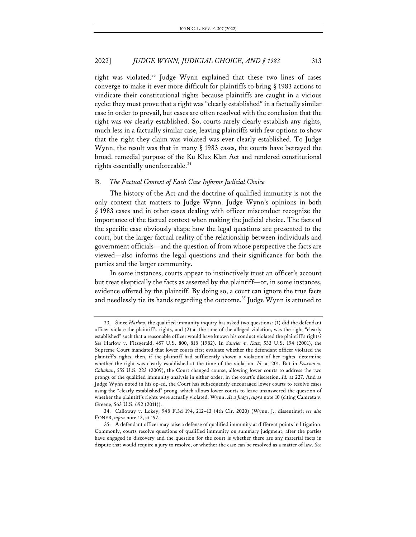right was violated.<sup>33</sup> Judge Wynn explained that these two lines of cases converge to make it ever more difficult for plaintiffs to bring § 1983 actions to vindicate their constitutional rights because plaintiffs are caught in a vicious cycle: they must prove that a right was "clearly established" in a factually similar case in order to prevail, but cases are often resolved with the conclusion that the right was *not* clearly established. So, courts rarely clearly establish any rights, much less in a factually similar case, leaving plaintiffs with few options to show that the right they claim was violated was ever clearly established. To Judge Wynn, the result was that in many § 1983 cases, the courts have betrayed the broad, remedial purpose of the Ku Klux Klan Act and rendered constitutional rights essentially unenforceable.<sup>34</sup>

## B. *The Factual Context of Each Case Informs Judicial Choice*

The history of the Act and the doctrine of qualified immunity is not the only context that matters to Judge Wynn. Judge Wynn's opinions in both § 1983 cases and in other cases dealing with officer misconduct recognize the importance of the factual context when making the judicial choice. The facts of the specific case obviously shape how the legal questions are presented to the court, but the larger factual reality of the relationship between individuals and government officials—and the question of from whose perspective the facts are viewed—also informs the legal questions and their significance for both the parties and the larger community.

In some instances, courts appear to instinctively trust an officer's account but treat skeptically the facts as asserted by the plaintiff—or, in some instances, evidence offered by the plaintiff. By doing so, a court can ignore the true facts and needlessly tie its hands regarding the outcome.<sup>35</sup> Judge Wynn is attuned to

<sup>33.</sup> Since *Harlow*, the qualified immunity inquiry has asked two questions: (1) did the defendant officer violate the plaintiff's rights, and (2) at the time of the alleged violation, was the right "clearly established" such that a reasonable officer would have known his conduct violated the plaintiff's rights? *See* Harlow v. Fitzgerald, 457 U.S. 800, 818 (1982). In *Saucier v*. *Katz*, 533 U.S. 194 (2001), the Supreme Court mandated that lower courts first evaluate whether the defendant officer violated the plaintiff's rights, then, if the plaintiff had sufficiently shown a violation of her rights, determine whether the right was clearly established at the time of the violation. *Id.* at 201. But in *Pearson v. Callahan*, 555 U.S. 223 (2009), the Court changed course, allowing lower courts to address the two prongs of the qualified immunity analysis in either order, in the court's discretion. *Id.* at 227. And as Judge Wynn noted in his op-ed, the Court has subsequently encouraged lower courts to resolve cases using the "clearly established" prong, which allows lower courts to leave unanswered the question of whether the plaintiff's rights were actually violated. Wynn, *As a Judge*, *supra* note 10 (citing Camreta v. Greene, 563 U.S. 692 (2011)).

<sup>34.</sup> Calloway v. Lokey, 948 F.3d 194, 212–13 (4th Cir. 2020) (Wynn, J., dissenting); *see also*  FONER, *supra* note 12, at 197.

<sup>35.</sup> A defendant officer may raise a defense of qualified immunity at different points in litigation. Commonly, courts resolve questions of qualified immunity on summary judgment, after the parties have engaged in discovery and the question for the court is whether there are any material facts in dispute that would require a jury to resolve, or whether the case can be resolved as a matter of law. *See*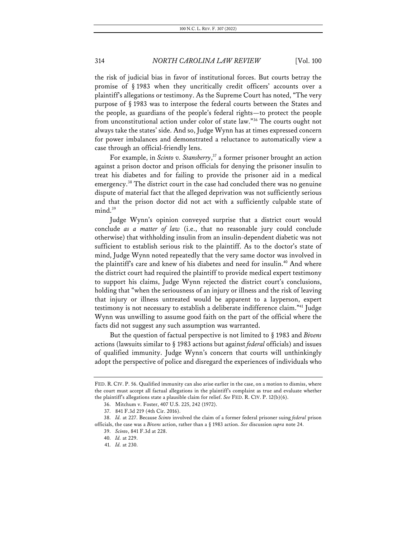the risk of judicial bias in favor of institutional forces. But courts betray the promise of § 1983 when they uncritically credit officers' accounts over a plaintiff's allegations or testimony. As the Supreme Court has noted, "The very purpose of § 1983 was to interpose the federal courts between the States and the people, as guardians of the people's federal rights—to protect the people from unconstitutional action under color of state law."36 The courts ought not always take the states' side. And so, Judge Wynn has at times expressed concern for power imbalances and demonstrated a reluctance to automatically view a case through an official-friendly lens.

For example, in *Scinto v. Stansberry*, <sup>37</sup> a former prisoner brought an action against a prison doctor and prison officials for denying the prisoner insulin to treat his diabetes and for failing to provide the prisoner aid in a medical emergency.<sup>38</sup> The district court in the case had concluded there was no genuine dispute of material fact that the alleged deprivation was not sufficiently serious and that the prison doctor did not act with a sufficiently culpable state of mind.<sup>39</sup>

Judge Wynn's opinion conveyed surprise that a district court would conclude *as a matter of law* (i.e., that no reasonable jury could conclude otherwise) that withholding insulin from an insulin-dependent diabetic was not sufficient to establish serious risk to the plaintiff. As to the doctor's state of mind, Judge Wynn noted repeatedly that the very same doctor was involved in the plaintiff's care and knew of his diabetes and need for insulin.<sup>40</sup> And where the district court had required the plaintiff to provide medical expert testimony to support his claims, Judge Wynn rejected the district court's conclusions, holding that "when the seriousness of an injury or illness and the risk of leaving that injury or illness untreated would be apparent to a layperson, expert testimony is not necessary to establish a deliberate indifference claim."41 Judge Wynn was unwilling to assume good faith on the part of the official where the facts did not suggest any such assumption was warranted.

But the question of factual perspective is not limited to § 1983 and *Bivens* actions (lawsuits similar to § 1983 actions but against *federal* officials) and issues of qualified immunity. Judge Wynn's concern that courts will unthinkingly adopt the perspective of police and disregard the experiences of individuals who

FED. R. CIV. P. 56. Qualified immunity can also arise earlier in the case, on a motion to dismiss, where the court must accept all factual allegations in the plaintiff's complaint as true and evaluate whether the plaintiff's allegations state a plausible claim for relief. *See* FED. R. CIV. P. 12(b)(6).

<sup>36.</sup> Mitchum v. Foster, 407 U.S. 225, 242 (1972).

<sup>37.</sup> 841 F.3d 219 (4th Cir. 2016).

<sup>38.</sup> *Id.* at 227. Because *Scinto* involved the claim of a former federal prisoner suing *federal* prison officials, the case was a *Bivens* action, rather than a § 1983 action. *See* discussion *supra* note 24.

<sup>39.</sup> *Scinto*, 841 F.3d at 228.

<sup>40.</sup> *Id.* at 229.

<sup>41.</sup> *Id.* at 230.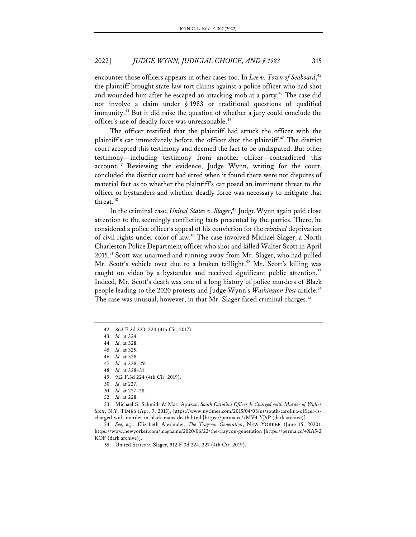encounter those officers appears in other cases too. In *Lee v. Town of Seaboard*, 42 the plaintiff brought state-law tort claims against a police officer who had shot and wounded him after he escaped an attacking mob at a party.<sup>43</sup> The case did not involve a claim under § 1983 or traditional questions of qualified immunity.44 But it did raise the question of whether a jury could conclude the officer's use of deadly force was unreasonable.<sup>45</sup>

The officer testified that the plaintiff had struck the officer with the plaintiff's car immediately before the officer shot the plaintiff.<sup>46</sup> The district court accepted this testimony and deemed the fact to be undisputed. But other testimony—including testimony from another officer—contradicted this  $account<sup>47</sup>$  Reviewing the evidence, Judge Wynn, writing for the court, concluded the district court had erred when it found there were not disputes of material fact as to whether the plaintiff's car posed an imminent threat to the officer or bystanders and whether deadly force was necessary to mitigate that threat.<sup>48</sup>

In the criminal case, *United States v. Slager*, <sup>49</sup> Judge Wynn again paid close attention to the seemingly conflicting facts presented by the parties. There, he considered a police officer's appeal of his conviction for the *criminal* deprivation of civil rights under color of law.<sup>50</sup> The case involved Michael Slager, a North Charleston Police Department officer who shot and killed Walter Scott in April 2015.51 Scott was unarmed and running away from Mr. Slager, who had pulled Mr. Scott's vehicle over due to a broken taillight.<sup>52</sup> Mr. Scott's killing was caught on video by a bystander and received significant public attention.<sup>53</sup> Indeed, Mr. Scott's death was one of a long history of police murders of Black people leading to the 2020 protests and Judge Wynn's *Washington Post* article.<sup>54</sup> The case was unusual, however, in that Mr. Slager faced criminal charges.<sup>55</sup>

48. *Id.* at 328–31.

53. Michael S. Schmidt & Matt Apuzzo, *South Carolina Officer Is Charged with Murder of Walter Scott*, N.Y. TIMES (Apr. 7, 2015), https://www.nytimes.com/2015/04/08/us/south-carolina-officer-ischarged-with-murder-in-black-mans-death.html [https://perma.cc/7MV4-YJ9P (dark archive)].

54. *See, e.g.*, Elizabeth Alexander, *The Trayvon Generation*, NEW YORKER (June 15, 2020), https://www.newyorker.com/magazine/2020/06/22/the-trayvon-generation [https://perma.cc/4XA5-2 KQF (dark archive)].

55. United States v. Slager, 912 F.3d 224, 227 (4th Cir. 2019).

<sup>42.</sup> 863 F.3d 323, 324 (4th Cir. 2017).

<sup>43.</sup> *Id.* at 324.

<sup>44.</sup> *Id.* at 328.

<sup>45.</sup> *Id.* at 325.

<sup>46.</sup> *Id.* at 328.

<sup>47.</sup> *Id.* at 328–29.

<sup>49.</sup> 912 F.3d 224 (4th Cir. 2019).

<sup>50.</sup> *Id.* at 227.

<sup>51.</sup> *Id.* at 227–28.

<sup>52.</sup> *Id.* at 228.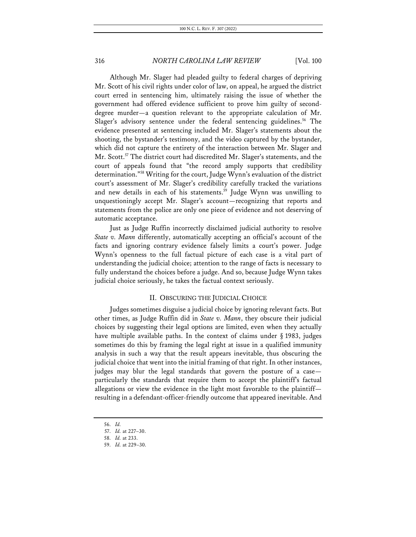Although Mr. Slager had pleaded guilty to federal charges of depriving Mr. Scott of his civil rights under color of law, on appeal, he argued the district court erred in sentencing him, ultimately raising the issue of whether the government had offered evidence sufficient to prove him guilty of seconddegree murder—a question relevant to the appropriate calculation of Mr. Slager's advisory sentence under the federal sentencing guidelines.<sup>56</sup> The evidence presented at sentencing included Mr. Slager's statements about the shooting, the bystander's testimony, and the video captured by the bystander, which did not capture the entirety of the interaction between Mr. Slager and Mr. Scott.<sup>57</sup> The district court had discredited Mr. Slager's statements, and the court of appeals found that "the record amply supports that credibility determination."58 Writing for the court, Judge Wynn's evaluation of the district court's assessment of Mr. Slager's credibility carefully tracked the variations and new details in each of his statements.<sup>59</sup> Judge Wynn was unwilling to unquestioningly accept Mr. Slager's account—recognizing that reports and statements from the police are only one piece of evidence and not deserving of automatic acceptance.

Just as Judge Ruffin incorrectly disclaimed judicial authority to resolve *State v. Mann* differently, automatically accepting an official's account of the facts and ignoring contrary evidence falsely limits a court's power. Judge Wynn's openness to the full factual picture of each case is a vital part of understanding the judicial choice; attention to the range of facts is necessary to fully understand the choices before a judge. And so, because Judge Wynn takes judicial choice seriously, he takes the factual context seriously.

## II. OBSCURING THE JUDICIAL CHOICE

Judges sometimes disguise a judicial choice by ignoring relevant facts. But other times, as Judge Ruffin did in *State v. Mann*, they obscure their judicial choices by suggesting their legal options are limited, even when they actually have multiple available paths. In the context of claims under § 1983, judges sometimes do this by framing the legal right at issue in a qualified immunity analysis in such a way that the result appears inevitable, thus obscuring the judicial choice that went into the initial framing of that right. In other instances, judges may blur the legal standards that govern the posture of a case particularly the standards that require them to accept the plaintiff's factual allegations or view the evidence in the light most favorable to the plaintiff resulting in a defendant-officer-friendly outcome that appeared inevitable. And

<sup>56.</sup> *Id.*

<sup>57.</sup> *Id.* at 227–30.

<sup>58.</sup> *Id.* at 233.

<sup>59.</sup> *Id.* at 229–30.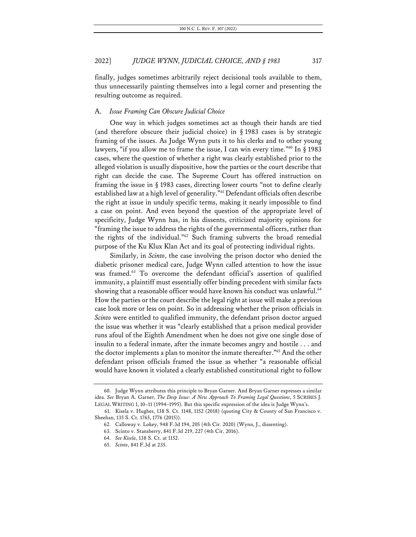finally, judges sometimes arbitrarily reject decisional tools available to them, thus unnecessarily painting themselves into a legal corner and presenting the resulting outcome as required.

## A. *Issue Framing Can Obscure Judicial Choice*

One way in which judges sometimes act as though their hands are tied (and therefore obscure their judicial choice) in § 1983 cases is by strategic framing of the issues. As Judge Wynn puts it to his clerks and to other young lawyers, "if you allow me to frame the issue, I can win every time."60 In § 1983 cases, where the question of whether a right was clearly established prior to the alleged violation is usually dispositive, how the parties or the court describe that right can decide the case. The Supreme Court has offered instruction on framing the issue in § 1983 cases, directing lower courts "not to define clearly established law at a high level of generality."61 Defendant officials often describe the right at issue in unduly specific terms, making it nearly impossible to find a case on point. And even beyond the question of the appropriate level of specificity, Judge Wynn has, in his dissents, criticized majority opinions for "framing the issue to address the rights of the governmental officers, rather than the rights of the individual."62 Such framing subverts the broad remedial purpose of the Ku Klux Klan Act and its goal of protecting individual rights.

Similarly, in *Scinto*, the case involving the prison doctor who denied the diabetic prisoner medical care, Judge Wynn called attention to how the issue was framed.<sup>63</sup> To overcome the defendant official's assertion of qualified immunity, a plaintiff must essentially offer binding precedent with similar facts showing that a reasonable officer would have known his conduct was unlawful.<sup>64</sup> How the parties or the court describe the legal right at issue will make a previous case look more or less on point. So in addressing whether the prison officials in *Scinto* were entitled to qualified immunity, the defendant prison doctor argued the issue was whether it was "clearly established that a prison medical provider runs afoul of the Eighth Amendment when he does not give one single dose of insulin to a federal inmate, after the inmate becomes angry and hostile . . . and the doctor implements a plan to monitor the inmate thereafter."65 And the other defendant prison officials framed the issue as whether "a reasonable official would have known it violated a clearly established constitutional right to follow

<sup>60.</sup> Judge Wynn attributes this principle to Bryan Garner. And Bryan Garner expresses a similar idea. *See* Bryan A. Garner, *The Deep Issue: A New Approach To Framing Legal Questions*, 5 SCRIBES J. LEGAL WRITING 1, 10–11 (1994–1995). But this specific expression of the idea is Judge Wynn's.

<sup>61.</sup> Kisela v. Hughes, 138 S. Ct. 1148, 1152 (2018) (quoting City & County of San Francisco v. Sheehan, 135 S. Ct. 1765, 1776 (2015)).

<sup>62.</sup> Calloway v. Lokey, 948 F.3d 194, 205 (4th Cir. 2020) (Wynn, J., dissenting).

<sup>63.</sup> Scinto v. Stansberry, 841 F.3d 219, 227 (4th Cir. 2016).

<sup>64.</sup> *See Kisela*, 138 S. Ct. at 1152.

<sup>65.</sup> *Scinto*, 841 F.3d at 235.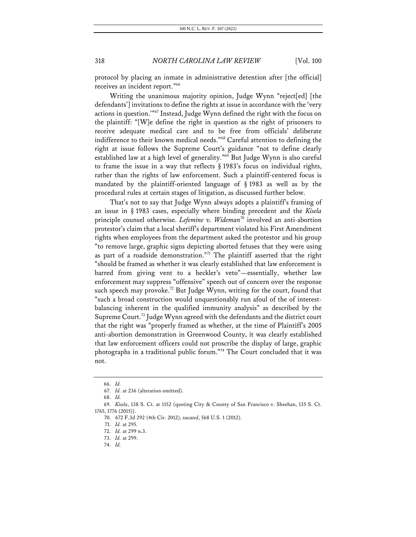protocol by placing an inmate in administrative detention after [the official] receives an incident report."66

Writing the unanimous majority opinion, Judge Wynn "reject[ed] [the defendants'] invitations to define the rights at issue in accordance with the 'very actions in question.'"67 Instead, Judge Wynn defined the right with the focus on the plaintiff: "[W]e define the right in question as the right of prisoners to receive adequate medical care and to be free from officials' deliberate indifference to their known medical needs."68 Careful attention to defining the right at issue follows the Supreme Court's guidance "not to define clearly established law at a high level of generality."69 But Judge Wynn is also careful to frame the issue in a way that reflects § 1983's focus on individual rights, rather than the rights of law enforcement. Such a plaintiff-centered focus is mandated by the plaintiff-oriented language of § 1983 as well as by the procedural rules at certain stages of litigation, as discussed further below.

That's not to say that Judge Wynn always adopts a plaintiff's framing of an issue in § 1983 cases, especially where binding precedent and the *Kisela*  principle counsel otherwise. *Lefemine v. Wideman*<sup>70</sup> involved an anti-abortion protestor's claim that a local sheriff's department violated his First Amendment rights when employees from the department asked the protestor and his group "to remove large, graphic signs depicting aborted fetuses that they were using as part of a roadside demonstration."71 The plaintiff asserted that the right "should be framed as whether it was clearly established that law enforcement is barred from giving vent to a heckler's veto"—essentially, whether law enforcement may suppress "offensive" speech out of concern over the response such speech may provoke.<sup>72</sup> But Judge Wynn, writing for the court, found that "such a broad construction would unquestionably run afoul of the of interestbalancing inherent in the qualified immunity analysis" as described by the Supreme Court.73 Judge Wynn agreed with the defendants and the district court that the right was "properly framed as whether, at the time of Plaintiff's 2005 anti-abortion demonstration in Greenwood County, it was clearly established that law enforcement officers could not proscribe the display of large, graphic photographs in a traditional public forum."<sup>74</sup> The Court concluded that it was not.

<sup>66.</sup> *Id.*

<sup>67.</sup> *Id.* at 236 (alteration omitted).

<sup>68.</sup> *Id.*

<sup>69.</sup> *Kisela*, 138 S. Ct. at 1152 (quoting City & County of San Francisco v. Sheehan, 135 S. Ct. 1765, 1776 (2015)).

<sup>70.</sup> 672 F.3d 292 (4th Cir. 2012), *vacated*, 568 U.S. 1 (2012).

<sup>71.</sup> *Id.* at 295.

<sup>72.</sup> *Id.* at 299 n.3.

<sup>73.</sup> *Id.* at 299.

<sup>74.</sup> *Id.*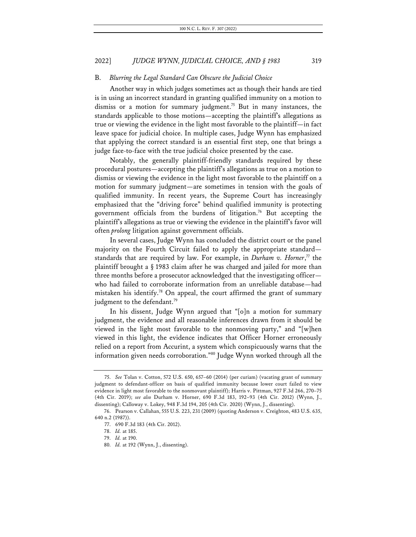#### B. *Blurring the Legal Standard Can Obscure the Judicial Choice*

Another way in which judges sometimes act as though their hands are tied is in using an incorrect standard in granting qualified immunity on a motion to dismiss or a motion for summary judgment.<sup>75</sup> But in many instances, the standards applicable to those motions—accepting the plaintiff's allegations as true or viewing the evidence in the light most favorable to the plaintiff—in fact leave space for judicial choice. In multiple cases, Judge Wynn has emphasized that applying the correct standard is an essential first step, one that brings a judge face-to-face with the true judicial choice presented by the case.

Notably, the generally plaintiff-friendly standards required by these procedural postures—accepting the plaintiff's allegations as true on a motion to dismiss or viewing the evidence in the light most favorable to the plaintiff on a motion for summary judgment—are sometimes in tension with the goals of qualified immunity. In recent years, the Supreme Court has increasingly emphasized that the "driving force" behind qualified immunity is protecting government officials from the burdens of litigation.76 But accepting the plaintiff's allegations as true or viewing the evidence in the plaintiff's favor will often *prolong* litigation against government officials.

In several cases, Judge Wynn has concluded the district court or the panel majority on the Fourth Circuit failed to apply the appropriate standard standards that are required by law. For example, in *Durham v. Horner*, <sup>77</sup> the plaintiff brought a § 1983 claim after he was charged and jailed for more than three months before a prosecutor acknowledged that the investigating officer who had failed to corroborate information from an unreliable database—had mistaken his identify.<sup>78</sup> On appeal, the court affirmed the grant of summary judgment to the defendant.<sup>79</sup>

In his dissent, Judge Wynn argued that "[o]n a motion for summary judgment, the evidence and all reasonable inferences drawn from it should be viewed in the light most favorable to the nonmoving party," and "[w]hen viewed in this light, the evidence indicates that Officer Horner erroneously relied on a report from Accurint, a system which conspicuously warns that the information given needs corroboration."80 Judge Wynn worked through all the

<sup>75.</sup> *See* Tolan v. Cotton, 572 U.S. 650, 657–60 (2014) (per curiam) (vacating grant of summary judgment to defendant-officer on basis of qualified immunity because lower court failed to view evidence in light most favorable to the nonmovant plaintiff); Harris v. Pittman, 927 F.3d 266, 270–75 (4th Cir. 2019); *see also* Durham v. Horner, 690 F.3d 183, 192–93 (4th Cir. 2012) (Wynn, J., dissenting); Calloway v. Lokey, 948 F.3d 194, 205 (4th Cir. 2020) (Wynn, J., dissenting).

<sup>76.</sup> Pearson v. Callahan, 555 U.S. 223, 231 (2009) (quoting Anderson v. Creighton, 483 U.S. 635, 640 n.2 (1987)).

<sup>77.</sup> 690 F.3d 183 (4th Cir. 2012).

<sup>78.</sup> *Id.* at 185.

<sup>79.</sup> *Id.* at 190.

<sup>80.</sup> *Id.* at 192 (Wynn, J., dissenting).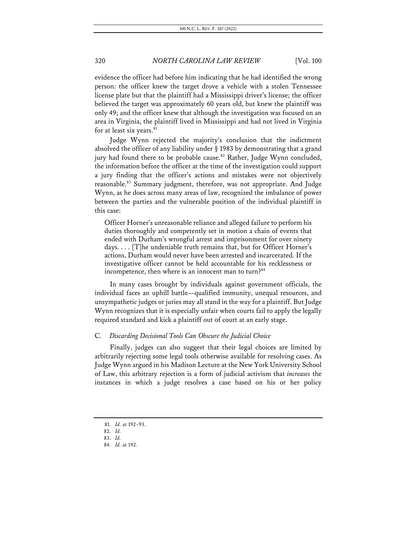evidence the officer had before him indicating that he had identified the wrong person: the officer knew the target drove a vehicle with a stolen Tennessee license plate but that the plaintiff had a Mississippi driver's license; the officer believed the target was approximately 60 years old, but knew the plaintiff was only 49; and the officer knew that although the investigation was focused on an area in Virginia, the plaintiff lived in Mississippi and had not lived in Virginia for at least six years. $81$ 

Judge Wynn rejected the majority's conclusion that the indictment absolved the officer of any liability under § 1983 by demonstrating that a grand jury had found there to be probable cause.<sup>82</sup> Rather, Judge Wynn concluded, the information before the officer at the time of the investigation could support a jury finding that the officer's actions and mistakes were not objectively reasonable.<sup>83</sup> Summary judgment, therefore, was not appropriate. And Judge Wynn, as he does across many areas of law, recognized the imbalance of power between the parties and the vulnerable position of the individual plaintiff in this case:

Officer Horner's unreasonable reliance and alleged failure to perform his duties thoroughly and competently set in motion a chain of events that ended with Durham's wrongful arrest and imprisonment for over ninety days. . . . [T]he undeniable truth remains that, but for Officer Horner's actions, Durham would never have been arrested and incarcerated. If the investigative officer cannot be held accountable for his recklessness or incompetence, then where is an innocent man to turn? 84

In many cases brought by individuals against government officials, the individual faces an uphill battle—qualified immunity, unequal resources, and unsympathetic judges or juries may all stand in the way for a plaintiff. But Judge Wynn recognizes that it is especially unfair when courts fail to apply the legally required standard and kick a plaintiff out of court at an early stage.

## C. *Discarding Decisional Tools Can Obscure the Judicial Choice*

Finally, judges can also suggest that their legal choices are limited by arbitrarily rejecting some legal tools otherwise available for resolving cases. As Judge Wynn argued in his Madison Lecture at the New York University School of Law, this arbitrary rejection is a form of judicial activism that *increases* the instances in which a judge resolves a case based on his or her policy

<sup>81.</sup> *Id.* at 192–93.

<sup>82.</sup> *Id.*

<sup>83.</sup> *Id.*

<sup>84.</sup> *Id.* at 192.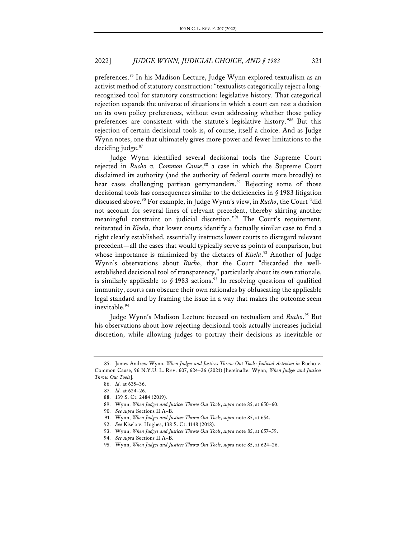preferences.<sup>85</sup> In his Madison Lecture, Judge Wynn explored textualism as an activist method of statutory construction: "textualists categorically reject a longrecognized tool for statutory construction: legislative history. That categorical rejection expands the universe of situations in which a court can rest a decision on its own policy preferences, without even addressing whether those policy preferences are consistent with the statute's legislative history."86 But this rejection of certain decisional tools is, of course, itself a choice. And as Judge Wynn notes, one that ultimately gives more power and fewer limitations to the deciding judge.<sup>87</sup>

Judge Wynn identified several decisional tools the Supreme Court rejected in *Rucho v. Common Cause*, <sup>88</sup> a case in which the Supreme Court disclaimed its authority (and the authority of federal courts more broadly) to hear cases challenging partisan gerrymanders.<sup>89</sup> Rejecting some of those decisional tools has consequences similar to the deficiencies in § 1983 litigation discussed above.90 For example, in Judge Wynn's view, in *Rucho*, the Court "did not account for several lines of relevant precedent, thereby skirting another meaningful constraint on judicial discretion."<sup>91</sup> The Court's requirement, reiterated in *Kisela*, that lower courts identify a factually similar case to find a right clearly established, essentially instructs lower courts to disregard relevant precedent—all the cases that would typically serve as points of comparison, but whose importance is minimized by the dictates of *Kisela*.<sup>92</sup> Another of Judge Wynn's observations about *Rucho*, that the Court "discarded the wellestablished decisional tool of transparency," particularly about its own rationale, is similarly applicable to  $\S$  1983 actions.<sup>93</sup> In resolving questions of qualified immunity, courts can obscure their own rationales by obfuscating the applicable legal standard and by framing the issue in a way that makes the outcome seem inevitable.<sup>94</sup>

Judge Wynn's Madison Lecture focused on textualism and *Rucho*. <sup>95</sup> But his observations about how rejecting decisional tools actually increases judicial discretion, while allowing judges to portray their decisions as inevitable or

<sup>85.</sup> James Andrew Wynn, *When Judges and Justices Throw Out Tools: Judicial Activism in* Rucho v. Common Cause, 96 N.Y.U. L. REV. 607, 624–26 (2021) [hereinafter Wynn, *When Judges and Justices Throw Out Tools*].

<sup>86.</sup> *Id.* at 635–36.

<sup>87.</sup> *Id.* at 624–26.

<sup>88.</sup> 139 S. Ct. 2484 (2019).

<sup>89.</sup> Wynn, *When Judges and Justices Throw Out Tools*, *supra* note 85, at 650–60.

<sup>90.</sup> *See supra* Sections II.A–B.

<sup>91.</sup> Wynn, *When Judges and Justices Throw Out Tools*, *supra* note 85, at 654.

<sup>92.</sup> *See* Kisela v. Hughes, 138 S. Ct. 1148 (2018).

<sup>93.</sup> Wynn, *When Judges and Justices Throw Out Tools*, *supra* note 85, at 657–59.

<sup>94.</sup> *See supra* Sections II.A–B.

<sup>95.</sup> Wynn, *When Judges and Justices Throw Out Tools*, *supra* note 85, at 624–26.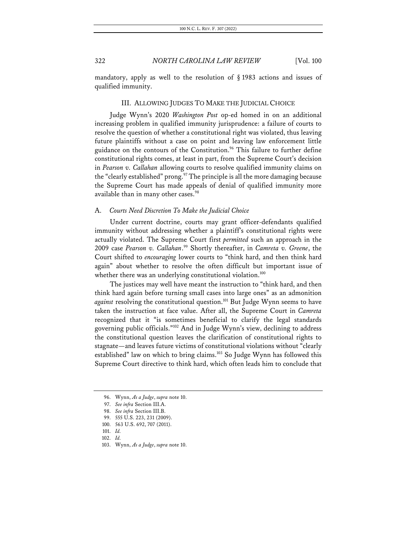mandatory, apply as well to the resolution of § 1983 actions and issues of qualified immunity.

## III. ALLOWING JUDGES TO MAKE THE JUDICIAL CHOICE

Judge Wynn's 2020 *Washington Post* op-ed homed in on an additional increasing problem in qualified immunity jurisprudence: a failure of courts to resolve the question of whether a constitutional right was violated, thus leaving future plaintiffs without a case on point and leaving law enforcement little guidance on the contours of the Constitution.<sup>96</sup> This failure to further define constitutional rights comes, at least in part, from the Supreme Court's decision in *Pearson v. Callahan* allowing courts to resolve qualified immunity claims on the "clearly established" prong.<sup>97</sup> The principle is all the more damaging because the Supreme Court has made appeals of denial of qualified immunity more available than in many other cases.<sup>98</sup>

#### A. *Courts Need Discretion To Make the Judicial Choice*

Under current doctrine, courts may grant officer-defendants qualified immunity without addressing whether a plaintiff's constitutional rights were actually violated. The Supreme Court first *permitted* such an approach in the 2009 case *Pearson v. Callahan*. <sup>99</sup> Shortly thereafter, in *Camreta v. Greene*, the Court shifted to *encouraging* lower courts to "think hard, and then think hard again" about whether to resolve the often difficult but important issue of whether there was an underlying constitutional violation.<sup>100</sup>

The justices may well have meant the instruction to "think hard, and then think hard again before turning small cases into large ones" as an admonition against resolving the constitutional question.<sup>101</sup> But Judge Wynn seems to have taken the instruction at face value. After all, the Supreme Court in *Camreta*  recognized that it "is sometimes beneficial to clarify the legal standards governing public officials."102 And in Judge Wynn's view, declining to address the constitutional question leaves the clarification of constitutional rights to stagnate—and leaves future victims of constitutional violations without "clearly established" law on which to bring claims.103 So Judge Wynn has followed this Supreme Court directive to think hard, which often leads him to conclude that

<sup>96.</sup> Wynn, *As a Judge*, *supra* note 10.

<sup>97.</sup> *See infra* Section III.A.

<sup>98.</sup> *See infra* Section III.B.

<sup>99.</sup> 555 U.S. 223, 231 (2009).

<sup>100.</sup> 563 U.S. 692, 707 (2011).

<sup>101.</sup> *Id.*

<sup>102.</sup> *Id.*

<sup>103.</sup> Wynn, *As a Judge*, *supra* note 10.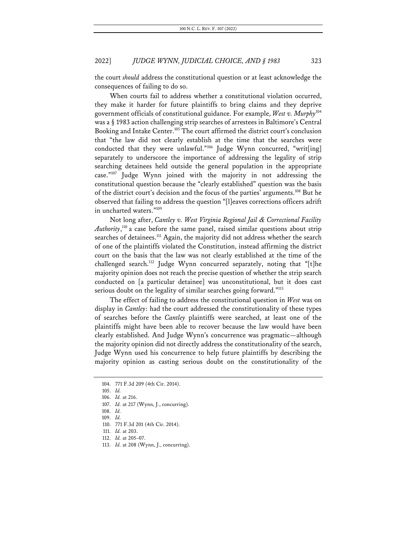the court *should* address the constitutional question or at least acknowledge the consequences of failing to do so.

When courts fail to address whether a constitutional violation occurred, they make it harder for future plaintiffs to bring claims and they deprive government officials of constitutional guidance. For example, *West v. Murphy*<sup>104</sup> was a § 1983 action challenging strip searches of arrestees in Baltimore's Central Booking and Intake Center.105 The court affirmed the district court's conclusion that "the law did not clearly establish at the time that the searches were conducted that they were unlawful."106 Judge Wynn concurred, "writ[ing] separately to underscore the importance of addressing the legality of strip searching detainees held outside the general population in the appropriate case."107 Judge Wynn joined with the majority in not addressing the constitutional question because the "clearly established" question was the basis of the district court's decision and the focus of the parties' arguments.108 But he observed that failing to address the question "[l]eaves corrections officers adrift in uncharted waters."109

Not long after, *Cantley v. West Virginia Regional Jail & Correctional Facility Authority*, <sup>110</sup> a case before the same panel, raised similar questions about strip searches of detainees.<sup>111</sup> Again, the majority did not address whether the search of one of the plaintiffs violated the Constitution, instead affirming the district court on the basis that the law was not clearly established at the time of the challenged search.<sup>112</sup> Judge Wynn concurred separately, noting that "[t]he majority opinion does not reach the precise question of whether the strip search conducted on [a particular detainee] was unconstitutional, but it does cast serious doubt on the legality of similar searches going forward."<sup>113</sup>

The effect of failing to address the constitutional question in *West* was on display in *Cantley*: had the court addressed the constitutionality of these types of searches before the *Cantley* plaintiffs were searched, at least one of the plaintiffs might have been able to recover because the law would have been clearly established. And Judge Wynn's concurrence was pragmatic—although the majority opinion did not directly address the constitutionality of the search, Judge Wynn used his concurrence to help future plaintiffs by describing the majority opinion as casting serious doubt on the constitutionality of the

<sup>104.</sup> 771 F.3d 209 (4th Cir. 2014).

<sup>105.</sup> *Id.*

<sup>106.</sup> *Id.* at 216.

<sup>107.</sup> *Id.* at 217 (Wynn, J., concurring).

<sup>108.</sup> *Id.*

<sup>109.</sup> *Id.*

<sup>110.</sup> 771 F.3d 201 (4th Cir. 2014).

<sup>111.</sup> *Id.* at 203.

<sup>112.</sup> *Id.* at 205–07.

<sup>113.</sup> *Id.* at 208 (Wynn, J., concurring).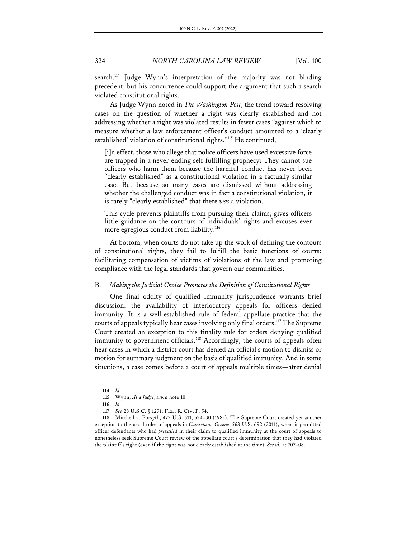search.<sup>114</sup> Judge Wynn's interpretation of the majority was not binding precedent, but his concurrence could support the argument that such a search violated constitutional rights.

As Judge Wynn noted in *The Washington Post*, the trend toward resolving cases on the question of whether a right was clearly established and not addressing whether a right was violated results in fewer cases "against which to measure whether a law enforcement officer's conduct amounted to a 'clearly established' violation of constitutional rights."115 He continued,

[i]n effect, those who allege that police officers have used excessive force are trapped in a never-ending self-fulfilling prophecy: They cannot sue officers who harm them because the harmful conduct has never been "clearly established" as a constitutional violation in a factually similar case. But because so many cases are dismissed without addressing whether the challenged conduct was in fact a constitutional violation, it is rarely "clearly established" that there *was* a violation.

This cycle prevents plaintiffs from pursuing their claims, gives officers little guidance on the contours of individuals' rights and excuses ever more egregious conduct from liability.<sup>116</sup>

At bottom, when courts do not take up the work of defining the contours of constitutional rights, they fail to fulfill the basic functions of courts: facilitating compensation of victims of violations of the law and promoting compliance with the legal standards that govern our communities.

#### B. *Making the Judicial Choice Promotes the Definition of Constitutional Rights*

One final oddity of qualified immunity jurisprudence warrants brief discussion: the availability of interlocutory appeals for officers denied immunity. It is a well-established rule of federal appellate practice that the courts of appeals typically hear cases involving only final orders.<sup>117</sup> The Supreme Court created an exception to this finality rule for orders denying qualified immunity to government officials.<sup>118</sup> Accordingly, the courts of appeals often hear cases in which a district court has denied an official's motion to dismiss or motion for summary judgment on the basis of qualified immunity. And in some situations, a case comes before a court of appeals multiple times—after denial

<sup>114.</sup> *Id.*

<sup>115.</sup> Wynn, *As a Judge*, *supra* note 10.

<sup>116.</sup> *Id.*

<sup>117.</sup> *See* 28 U.S.C. § 1291; FED. R. CIV. P. 54.

<sup>118.</sup> Mitchell v. Forsyth, 472 U.S. 511, 524–30 (1985). The Supreme Court created yet another exception to the usual rules of appeals in *Camreta v. Greene*, 563 U.S. 692 (2011), when it permitted officer defendants who had *prevailed* in their claim to qualified immunity at the court of appeals to nonetheless seek Supreme Court review of the appellate court's determination that they had violated the plaintiff's right (even if the right was not clearly established at the time). *See id.* at 707–08.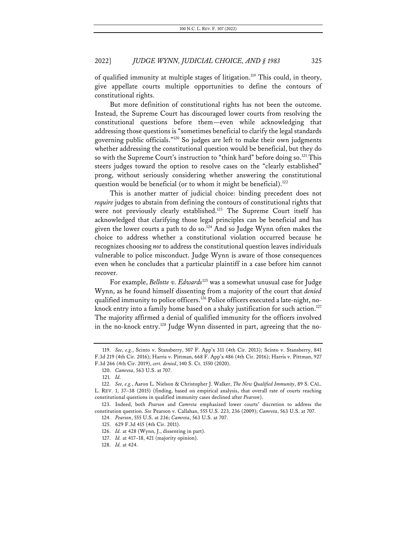of qualified immunity at multiple stages of litigation.<sup>119</sup> This could, in theory, give appellate courts multiple opportunities to define the contours of constitutional rights.

But more definition of constitutional rights has not been the outcome. Instead, the Supreme Court has discouraged lower courts from resolving the constitutional questions before them—even while acknowledging that addressing those questions is "sometimes beneficial to clarify the legal standards governing public officials."120 So judges are left to make their own judgments whether addressing the constitutional question would be beneficial, but they do so with the Supreme Court's instruction to "think hard" before doing so.<sup>121</sup> This steers judges toward the option to resolve cases on the "clearly established" prong, without seriously considering whether answering the constitutional question would be beneficial (or to whom it might be beneficial).<sup>122</sup>

This is another matter of judicial choice: binding precedent does not *require* judges to abstain from defining the contours of constitutional rights that were not previously clearly established.<sup>123</sup> The Supreme Court itself has acknowledged that clarifying those legal principles can be beneficial and has given the lower courts a path to do so.<sup>124</sup> And so Judge Wynn often makes the choice to address whether a constitutional violation occurred because he recognizes choosing *not* to address the constitutional question leaves individuals vulnerable to police misconduct. Judge Wynn is aware of those consequences even when he concludes that a particular plaintiff in a case before him cannot recover.

For example, *Bellotte v. Edwards*<sup>125</sup> was a somewhat unusual case for Judge Wynn, as he found himself dissenting from a majority of the court that *denied* qualified immunity to police officers.126 Police officers executed a late-night, noknock entry into a family home based on a shaky justification for such action.<sup>127</sup> The majority affirmed a denial of qualified immunity for the officers involved in the no-knock entry. <sup>128</sup> Judge Wynn dissented in part, agreeing that the no-

<sup>119.</sup> *See, e.g.*, Scinto v. Stansberry, 507 F. App'x 311 (4th Cir. 2013); Scinto v. Stansberry, 841 F.3d 219 (4th Cir. 2016); Harris v. Pittman, 668 F. App'x 486 (4th Cir. 2016); Harris v. Pittman, 927 F.3d 266 (4th Cir. 2019), *cert. denied*, 140 S. Ct. 1550 (2020).

<sup>120.</sup> *Camreta*, 563 U.S. at 707.

<sup>121.</sup> *Id.*

<sup>122.</sup> *See, e.g.*, Aaron L. Nielson & Christopher J. Walker, *The New Qualified Immunity*, 89 S. CAL. L. REV. 1, 37–38 (2015) (finding, based on empirical analysis, that overall rate of courts reaching constitutional questions in qualified immunity cases declined after *Pearson*).

<sup>123.</sup> Indeed, both *Pearson* and *Camreta* emphasized lower courts' discretion to address the constitution question. *See* Pearson v. Callahan, 555 U.S. 223, 236 (2009); *Camreta*, 563 U.S. at 707.

<sup>124.</sup> *Pearson*, 555 U.S. at 236; *Camreta*, 563 U.S. at 707.

<sup>125.</sup> 629 F.3d 415 (4th Cir. 2011).

<sup>126.</sup> *Id.* at 428 (Wynn, J., dissenting in part).

<sup>127.</sup> *Id.* at 417–18, 421 (majority opinion).

<sup>128.</sup> *Id.* at 424.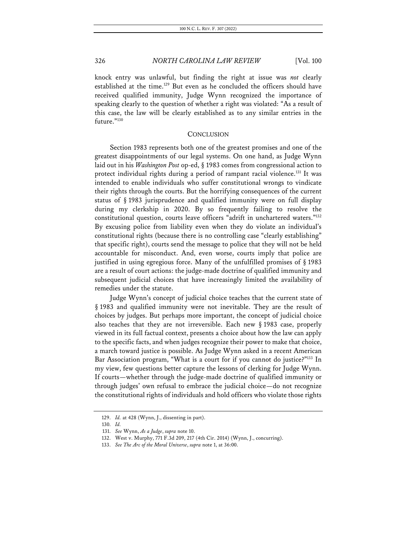knock entry was unlawful, but finding the right at issue was *not* clearly established at the time.<sup>129</sup> But even as he concluded the officers should have received qualified immunity, Judge Wynn recognized the importance of speaking clearly to the question of whether a right was violated: "As a result of this case, the law will be clearly established as to any similar entries in the future."130

#### **CONCLUSION**

Section 1983 represents both one of the greatest promises and one of the greatest disappointments of our legal systems. On one hand, as Judge Wynn laid out in his *Washington Post* op-ed, § 1983 comes from congressional action to protect individual rights during a period of rampant racial violence.131 It was intended to enable individuals who suffer constitutional wrongs to vindicate their rights through the courts. But the horrifying consequences of the current status of § 1983 jurisprudence and qualified immunity were on full display during my clerkship in 2020. By so frequently failing to resolve the constitutional question, courts leave officers "adrift in unchartered waters."132 By excusing police from liability even when they do violate an individual's constitutional rights (because there is no controlling case "clearly establishing" that specific right), courts send the message to police that they will not be held accountable for misconduct. And, even worse, courts imply that police are justified in using egregious force. Many of the unfulfilled promises of § 1983 are a result of court actions: the judge-made doctrine of qualified immunity and subsequent judicial choices that have increasingly limited the availability of remedies under the statute.

Judge Wynn's concept of judicial choice teaches that the current state of § 1983 and qualified immunity were not inevitable. They are the result of choices by judges. But perhaps more important, the concept of judicial choice also teaches that they are not irreversible. Each new § 1983 case, properly viewed in its full factual context, presents a choice about how the law can apply to the specific facts, and when judges recognize their power to make that choice, a march toward justice is possible. As Judge Wynn asked in a recent American Bar Association program, "What is a court for if you cannot do justice?"<sup>133</sup> In my view, few questions better capture the lessons of clerking for Judge Wynn. If courts—whether through the judge-made doctrine of qualified immunity or through judges' own refusal to embrace the judicial choice—do not recognize the constitutional rights of individuals and hold officers who violate those rights

<sup>129.</sup> *Id.* at 428 (Wynn, J., dissenting in part).

<sup>130.</sup> *Id.*

<sup>131.</sup> *See* Wynn, *As a Judge*, *supra* note 10.

<sup>132.</sup> West v. Murphy, 771 F.3d 209, 217 (4th Cir. 2014) (Wynn, J., concurring).

<sup>133.</sup> *See The Arc of the Moral Universe*, *supra* note 1, at 36:00.